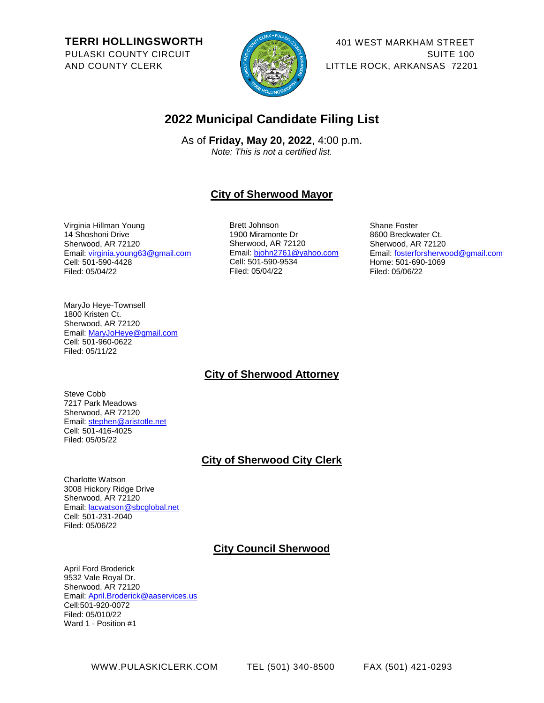**TERRI HOLLINGSWORTH** PULASKI COUNTY CIRCUIT AND COUNTY CLERK



401 WEST MARKHAM STREET SUITE 100 LITTLE ROCK, ARKANSAS 72201

# **2022 Municipal Candidate Filing List**

As of **Friday, May 20, 2022**, 4:00 p.m. *Note: This is not a certified list.* 

# **City of Sherwood Mayor**

Virginia Hillman Young 14 Shoshoni Drive Sherwood, AR 72120 Email: [virginia.young63@gmail.com](mailto:virginia.young63@gmail.com) Cell: 501-590-4428 Filed: 05/04/22

Brett Johnson 1900 Miramonte Dr Sherwood, AR 72120 Email: [bjohn2761@yahoo.com](mailto:bjohn2761@yahoo.com) Cell: 501-590-9534 Filed: 05/04/22

Shane Foster 8600 Breckwater Ct. Sherwood, AR 72120 Email: [fosterforsherwood@gmail.com](mailto:fosterforsherwood@gmail.com) Home: 501-690-1069 Filed: 05/06/22

MaryJo Heye-Townsell 1800 Kristen Ct. Sherwood, AR 72120 Email[: MaryJoHeye@gmail.com](mailto:MaryJoHeye@gmail.com) Cell: 501-960-0622 Filed: 05/11/22

# **City of Sherwood Attorney**

Steve Cobb 7217 Park Meadows Sherwood, AR 72120 Email[: stephen@aristotle.net](mailto:stephen@aristotle.net) Cell: 501-416-4025 Filed: 05/05/22

# **City of Sherwood City Clerk**

Charlotte Watson 3008 Hickory Ridge Drive Sherwood, AR 72120 Email[: lacwatson@sbcglobal.net](mailto:lacwatson@sbcglobal.net) Cell: 501-231-2040 Filed: 05/06/22

# **City Council Sherwood**

April Ford Broderick 9532 Vale Royal Dr. Sherwood, AR 72120 Email[: April.Broderick@aaservices.us](mailto:April.Broderick@aaservices.us) Cell:501-920-0072 Filed: 05/010/22 Ward 1 - Position #1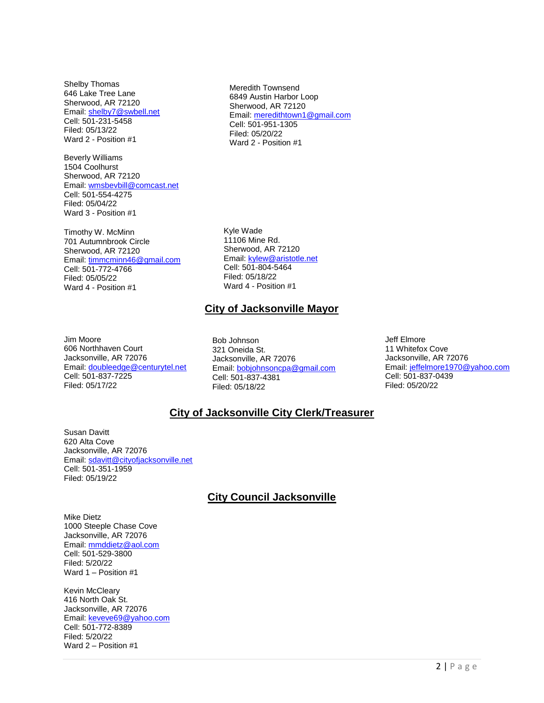Shelby Thomas 646 Lake Tree Lane Sherwood, AR 72120 Email[: shelby7@swbell.net](mailto:shelby7@swbell.net) Cell: 501-231-5458 Filed: 05/13/22 Ward 2 - Position #1

Beverly Williams 1504 Coolhurst Sherwood, AR 72120 Email[: wmsbevbill@comcast.net](mailto:wmsbevbill@comcast.net) Cell: 501-554-4275 Filed: 05/04/22 Ward 3 - Position #1

Timothy W. McMinn 701 Autumnbrook Circle Sherwood, AR 72120 Email[: timmcminn46@gmail.com](mailto:timmcminn46@gmail.com) Cell: 501-772-4766 Filed: 05/05/22 Ward 4 - Position #1

Meredith Townsend 6849 Austin Harbor Loop Sherwood, AR 72120 Email: [meredithtown1@gmail.com](mailto:meredithtown1@gmail.com) Cell: 501-951-1305 Filed: 05/20/22 Ward 2 - Position #1

Kyle Wade 11106 Mine Rd. Sherwood, AR 72120 Email: [kylew@aristotle.net](mailto:kylew@aristotle.net) Cell: 501-804-5464 Filed: 05/18/22 Ward 4 - Position #1

#### **City of Jacksonville Mayor**

Jim Moore 606 Northhaven Court Jacksonville, AR 72076 Email[: doubleedge@centurytel.net](mailto:doubleedge@centurytel.net) Cell: 501-837-7225 Filed: 05/17/22

Bob Johnson 321 Oneida St. Jacksonville, AR 72076 Email[: bobjohnsoncpa@gmail.com](mailto:bobjohnsoncpa@gmail.com) Cell: 501-837-4381 Filed: 05/18/22

Jeff Elmore 11 Whitefox Cove Jacksonville, AR 72076 Email: [jeffelmore1970@yahoo.com](mailto:jeffelmore1970@yahoo.com) Cell: 501-837-0439 Filed: 05/20/22

# **City of Jacksonville City Clerk/Treasurer**

Susan Davitt 620 Alta Cove Jacksonville, AR 72076 Email[: sdavitt@cityofjacksonville.net](mailto:sdavitt@cityofjacksonville.net) Cell: 501-351-1959 Filed: 05/19/22

# **City Council Jacksonville**

Mike Dietz 1000 Steeple Chase Cove Jacksonville, AR 72076 Email[: mmddietz@aol.com](mailto:mmddietz@aol.com) Cell: 501-529-3800 Filed: 5/20/22 Ward 1 – Position #1

Kevin McCleary 416 North Oak St. Jacksonville, AR 72076 Email[: keveve69@yahoo.com](mailto:keveve69@yahoo.com) Cell: 501-772-8389 Filed: 5/20/22 Ward 2 – Position #1